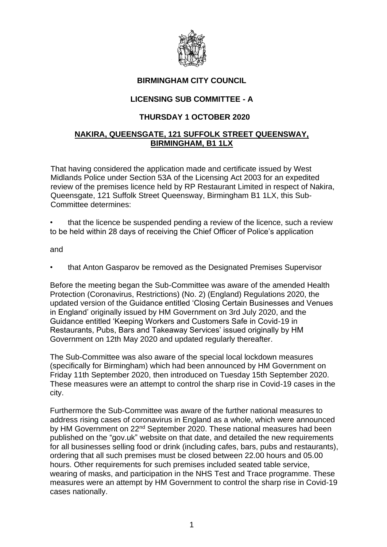

## **BIRMINGHAM CITY COUNCIL**

## **LICENSING SUB COMMITTEE - A**

## **THURSDAY 1 OCTOBER 2020**

## **NAKIRA, QUEENSGATE, 121 SUFFOLK STREET QUEENSWAY, BIRMINGHAM, B1 1LX**

That having considered the application made and certificate issued by West Midlands Police under Section 53A of the Licensing Act 2003 for an expedited review of the premises licence held by RP Restaurant Limited in respect of Nakira, Queensgate, 121 Suffolk Street Queensway, Birmingham B1 1LX, this Sub-Committee determines:

• that the licence be suspended pending a review of the licence, such a review to be held within 28 days of receiving the Chief Officer of Police's application

and

• that Anton Gasparov be removed as the Designated Premises Supervisor

Before the meeting began the Sub-Committee was aware of the amended Health Protection (Coronavirus, Restrictions) (No. 2) (England) Regulations 2020, the updated version of the Guidance entitled 'Closing Certain Businesses and Venues in England' originally issued by HM Government on 3rd July 2020, and the Guidance entitled 'Keeping Workers and Customers Safe in Covid-19 in Restaurants, Pubs, Bars and Takeaway Services' issued originally by HM Government on 12th May 2020 and updated regularly thereafter.

The Sub-Committee was also aware of the special local lockdown measures (specifically for Birmingham) which had been announced by HM Government on Friday 11th September 2020, then introduced on Tuesday 15th September 2020. These measures were an attempt to control the sharp rise in Covid-19 cases in the city.

Furthermore the Sub-Committee was aware of the further national measures to address rising cases of coronavirus in England as a whole, which were announced by HM Government on 22<sup>nd</sup> September 2020. These national measures had been published on the "gov.uk" website on that date, and detailed the new requirements for all businesses selling food or drink (including cafes, bars, pubs and restaurants), ordering that all such premises must be closed between 22.00 hours and 05.00 hours. Other requirements for such premises included seated table service, wearing of masks, and participation in the NHS Test and Trace programme. These measures were an attempt by HM Government to control the sharp rise in Covid-19 cases nationally.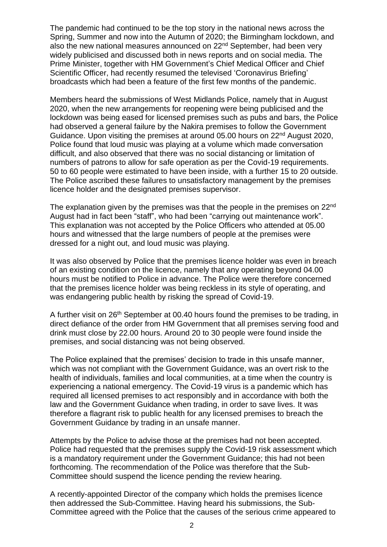The pandemic had continued to be the top story in the national news across the Spring, Summer and now into the Autumn of 2020; the Birmingham lockdown, and also the new national measures announced on 22<sup>nd</sup> September, had been very widely publicised and discussed both in news reports and on social media. The Prime Minister, together with HM Government's Chief Medical Officer and Chief Scientific Officer, had recently resumed the televised 'Coronavirus Briefing' broadcasts which had been a feature of the first few months of the pandemic.

Members heard the submissions of West Midlands Police, namely that in August 2020, when the new arrangements for reopening were being publicised and the lockdown was being eased for licensed premises such as pubs and bars, the Police had observed a general failure by the Nakira premises to follow the Government Guidance. Upon visiting the premises at around 05.00 hours on 22<sup>nd</sup> August 2020, Police found that loud music was playing at a volume which made conversation difficult, and also observed that there was no social distancing or limitation of numbers of patrons to allow for safe operation as per the Covid-19 requirements. 50 to 60 people were estimated to have been inside, with a further 15 to 20 outside. The Police ascribed these failures to unsatisfactory management by the premises licence holder and the designated premises supervisor.

The explanation given by the premises was that the people in the premises on 22<sup>nd</sup> August had in fact been "staff", who had been "carrying out maintenance work". This explanation was not accepted by the Police Officers who attended at 05.00 hours and witnessed that the large numbers of people at the premises were dressed for a night out, and loud music was playing.

It was also observed by Police that the premises licence holder was even in breach of an existing condition on the licence, namely that any operating beyond 04.00 hours must be notified to Police in advance. The Police were therefore concerned that the premises licence holder was being reckless in its style of operating, and was endangering public health by risking the spread of Covid-19.

A further visit on 26<sup>th</sup> September at 00.40 hours found the premises to be trading, in direct defiance of the order from HM Government that all premises serving food and drink must close by 22.00 hours. Around 20 to 30 people were found inside the premises, and social distancing was not being observed.

The Police explained that the premises' decision to trade in this unsafe manner, which was not compliant with the Government Guidance, was an overt risk to the health of individuals, families and local communities, at a time when the country is experiencing a national emergency. The Covid-19 virus is a pandemic which has required all licensed premises to act responsibly and in accordance with both the law and the Government Guidance when trading, in order to save lives. It was therefore a flagrant risk to public health for any licensed premises to breach the Government Guidance by trading in an unsafe manner.

Attempts by the Police to advise those at the premises had not been accepted. Police had requested that the premises supply the Covid-19 risk assessment which is a mandatory requirement under the Government Guidance; this had not been forthcoming. The recommendation of the Police was therefore that the Sub-Committee should suspend the licence pending the review hearing.

A recently-appointed Director of the company which holds the premises licence then addressed the Sub-Committee. Having heard his submissions, the Sub-Committee agreed with the Police that the causes of the serious crime appeared to